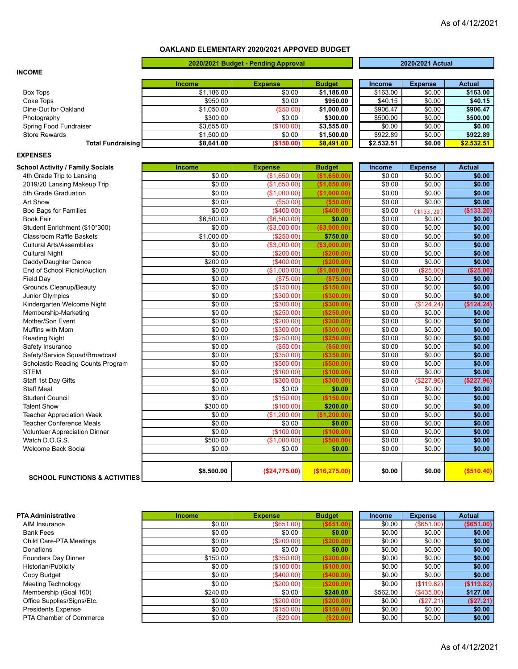## **OAKLAND ELEMENTARY 2020/2021 APPOVED BUDGET**

|                                          |               | 2020/2021 Budget - Pending Approval |               | 2020/2021 Actual |                |               |
|------------------------------------------|---------------|-------------------------------------|---------------|------------------|----------------|---------------|
| <b>INCOME</b>                            |               |                                     |               |                  |                |               |
|                                          | <b>Income</b> | <b>Expense</b>                      | <b>Budget</b> | <b>Income</b>    | <b>Expense</b> | <b>Actual</b> |
| <b>Box Tops</b>                          | \$1,186.00    | \$0.00                              | \$1,186.00    | \$163.00         | \$0.00         | \$163.00      |
| Coke Tops                                | \$950.00      | \$0.00                              | \$950.00      | \$40.15          | \$0.00         | \$40.15       |
| Dine-Out for Oakland                     | \$1,050.00    | (\$50.00)                           | \$1,000.00    | \$906.47         | \$0.00         | \$906.47      |
| Photography                              | \$300.00      | \$0.00                              | \$300.00      | \$500.00         | \$0.00         | \$500.00      |
| Spring Food Fundraiser                   | \$3,655.00    | (\$100.00)                          | \$3,555.00    | \$0.00           | \$0.00         | \$0.00        |
| <b>Store Rewards</b>                     | \$1,500.00    | \$0.00                              | \$1,500.00    | \$922.89         | \$0.00         | \$922.89      |
| <b>Total Fundraising</b>                 | \$8,641.00    | (\$150.00)                          | \$8,491.00    | \$2,532.51       | \$0.00         | \$2,532.51    |
| <b>EXPENSES</b>                          |               |                                     |               |                  |                |               |
| <b>School Activity / Family Socials</b>  | <b>Income</b> | <b>Expense</b>                      | <b>Budget</b> | Income           | <b>Expense</b> | <b>Actual</b> |
| 4th Grade Trip to Lansing                | \$0.00        | (\$1,650.00)                        | (\$1,650.00)  | \$0.00           | \$0.00         | \$0.00        |
| 2019/20 Lansing Makeup Trip              | \$0.00        | (\$1,650.00)                        | (\$1,650.00)  | \$0.00           | \$0.00         | \$0.00        |
| 5th Grade Graduation                     | \$0.00        | (\$1,000.00)                        | (\$1,000.00]  | \$0.00           | \$0.00         | \$0.00        |
| Art Show                                 | \$0.00        | (\$50.00)                           | ( \$50.00]    | \$0.00           | \$0.00         | \$0.00        |
| Boo Bags for Families                    | \$0.00        | (\$400.00)                          | ( \$400.00]   | \$0.00           | ( \$133.20)    | (\$133.20)    |
| <b>Book Fair</b>                         | \$6,500.00    | (\$6,500.00)                        | \$0.00        | \$0.00           | \$0.00         | \$0.00        |
| Student Enrichment (\$10*300)            | \$0.00        | (\$3,000.00)                        | (\$3,000.00   | \$0.00           | \$0.00         | \$0.00        |
| <b>Classroom Raffle Baskets</b>          | \$1,000.00    | (\$250.00)                          | \$750.00      | \$0.00           | \$0.00         | \$0.00        |
| <b>Cultural Arts/Assemblies</b>          | \$0.00        | (\$3,000.00)                        | (\$3,000.00   | \$0.00           | \$0.00         | \$0.00        |
| <b>Cultural Night</b>                    | \$0.00        | (\$200.00)                          | (\$200.00)    | \$0.00           | \$0.00         | \$0.00        |
| Daddy/Daughter Dance                     | \$200.00      | (\$400.00)                          | ( \$200.00]   | \$0.00           | \$0.00         | \$0.00        |
| End of School Picnic/Auction             | \$0.00        | (\$1,000.00)                        | (\$1,000.00)  | \$0.00           | (\$25.00"      | (\$25.00)     |
| <b>Field Day</b>                         | \$0.00        | (\$75.00)                           | (\$75.00)     | \$0.00           | \$0.00         | \$0.00        |
| Grounds Cleanup/Beauty                   | \$0.00        | (\$150.00)                          | (\$150.00)    | \$0.00           | \$0.00         | \$0.00        |
| Junior Olympics                          | \$0.00        | (\$300.00)                          | ( \$300.00]   | \$0.00           | \$0.00         | \$0.00        |
| Kindergarten Welcome Night               | \$0.00        | (\$300.00)                          | ( \$300.00]   | \$0.00           | (\$124.24)     | (\$124.24)    |
| Membership-Marketing                     | \$0.00        | (\$250.00)                          | (\$250.00)    | \$0.00           | \$0.00         | \$0.00        |
| Mother/Son Event                         | \$0.00        | (\$200.00)                          | (S200.00)     | \$0.00           | \$0.00         | \$0.00        |
| Muffins with Mom                         | \$0.00        | (\$300.00)                          | ( \$300.00]   | \$0.00           | \$0.00         | \$0.00        |
| <b>Reading Night</b>                     | \$0.00        | (\$250.00)                          | (\$250.00)    | \$0.00           | \$0.00         | \$0.00        |
| Safety Insurance                         | \$0.00        | (\$50.00)                           | ( \$50.00]    | \$0.00           | \$0.00         | \$0.00        |
| Safety/Service Squad/Broadcast           | \$0.00        | (\$350.00)                          | ( \$350.00)   | \$0.00           | \$0.00         | \$0.00        |
| Scholastic Reading Counts Program        | \$0.00        | ( \$500.00)                         | ( \$500.00]   | \$0.00           | \$0.00         | \$0.00        |
| <b>STEM</b>                              | \$0.00        | (\$100.00)                          | (\$100.00)    | \$0.00           | \$0.00         | \$0.00        |
| Staff 1st Day Gifts                      | \$0.00        | (\$300.00)                          | (\$300.00)    | \$0.00           | (\$227.96)     | (\$227.96)    |
| <b>Staff Meal</b>                        | \$0.00        | \$0.00                              | \$0.00        | \$0.00           | \$0.00         | \$0.00        |
| <b>Student Council</b>                   | \$0.00        | (\$150.00)                          | (\$150.00)    | \$0.00           | \$0.00         | \$0.00        |
| <b>Talent Show</b>                       | \$300.00      | (\$100.00)                          | \$200.00      | \$0.00           | \$0.00         | \$0.00        |
| <b>Teacher Appreciation Week</b>         | \$0.00        | (\$1,200.00)                        | (\$1,200.00)  | \$0.00           | \$0.00         | \$0.00        |
| <b>Teacher Conference Meals</b>          | \$0.00        | \$0.00                              | \$0.00        | \$0.00           | \$0.00         | \$0.00        |
| <b>Volunteer Appreciation Dinner</b>     | \$0.00        | (\$100.00)                          | (\$100.00)    | \$0.00           | \$0.00         | \$0.00        |
| Watch D.O.G.S.                           | \$500.00      | (\$1,000.00)                        | ( \$500.00]   | \$0.00           | \$0.00         | \$0.00        |
| <b>Welcome Back Social</b>               | \$0.00        | \$0.00                              | \$0.00        | \$0.00           | \$0.00         | \$0.00        |
|                                          |               |                                     |               |                  |                |               |
| <b>SCHOOL FUNCTIONS &amp; ACTIVITIES</b> | \$8,500.00    | (\$24,775.00)                       | (\$16,275.00) | \$0.00           | \$0.00         | (\$510.40)    |

| <b>PTA Administrative</b>  | <b>Income</b> | <b>Expense</b>    | <b>Budget</b> | <b>Income</b> | <b>Expense</b> | <b>Actual</b> |
|----------------------------|---------------|-------------------|---------------|---------------|----------------|---------------|
| AIM Insurance              | \$0.00        | (S651.00)         | $($ \$651.00) | \$0.00        | (S651.00)      | $($ \$651.00) |
| <b>Bank Fees</b>           | \$0.00        | \$0.00            | \$0.00        | \$0.00        | \$0.00         | \$0.00        |
| Child Care-PTA Meetings    | \$0.00        | (\$200.00)        | (\$200.00)    | \$0.00        | \$0.00         | \$0.00        |
| Donations                  | \$0.00        | \$0.00            | \$0.00        | \$0.00        | \$0.00         | \$0.00        |
| Founders Day Dinner        | \$150.00      | $($ \$350.00) $ $ | ( \$200.00)   | \$0.00        | \$0.00         | \$0.00        |
| Historian/Publicity        | \$0.00        | (\$100.00)        | (\$100.00)    | \$0.00        | \$0.00         | \$0.00        |
| Copy Budget                | \$0.00        | $($ \$400.00) $ $ | (\$400.00)    | \$0.00        | \$0.00         | \$0.00        |
| <b>Meeting Technology</b>  | \$0.00        | (S200.00)         | ( \$200.00]   | \$0.00        | (S119.82)      | (\$119.82)    |
| Membership (Goal 160)      | \$240.00      | \$0.00            | \$240.00      | \$562.00      | (S435.00)      | \$127.00      |
| Office Supplies/Signs/Etc. | \$0.00        | (S200.00)         | ( \$200.00)   | \$0.00        | (\$27.21)      | (\$27.21)     |
| <b>Presidents Expense</b>  | \$0.00        | (S150.00)         | (\$150.00)    | \$0.00        | \$0.00         | \$0.00        |
| PTA Chamber of Commerce    | \$0.00        | (S20.00)          | \$20.00       | \$0.00        | \$0.00         | \$0.00        |